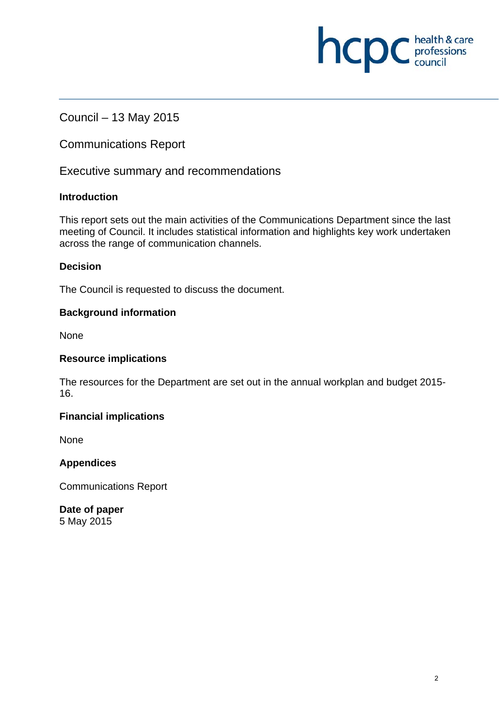# Council – 13 May 2015

Communications Report

Executive summary and recommendations

# **Introduction**

This report sets out the main activities of the Communications Department since the last meeting of Council. It includes statistical information and highlights key work undertaken across the range of communication channels.

# **Decision**

The Council is requested to discuss the document.

### **Background information**

**None** 

### **Resource implications**

The resources for the Department are set out in the annual workplan and budget 2015- 16.

### **Financial implications**

**None** 

### **Appendices**

Communications Report

**Date of paper**  5 May 2015

**NCDC** health & care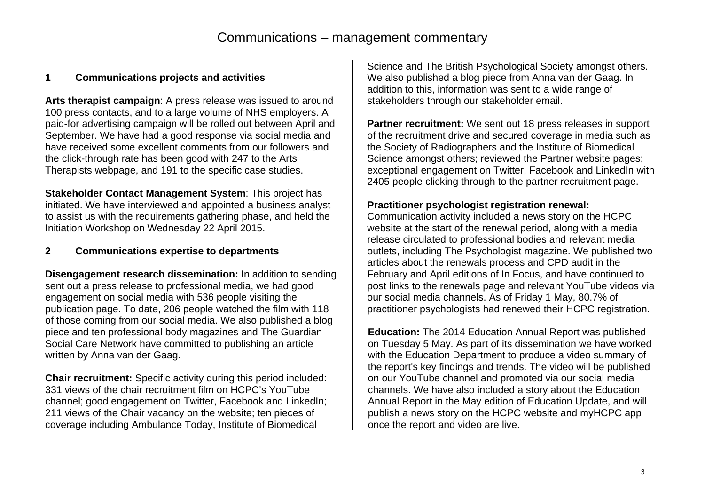# **1 Communications projects and activities**

**Arts therapist campaign**: A press release was issued to around 100 press contacts, and to a large volume of NHS employers. A paid-for advertising campaign will be rolled out between April and September. We have had a good response via social media and have received some excellent comments from our followers and the click-through rate has been good with 247 to the Arts Therapists webpage, and 191 to the specific case studies.

**Stakeholder Contact Management System**: This project has initiated. We have interviewed and appointed a business analyst to assist us with the requirements gathering phase, and held the Initiation Workshop on Wednesday 22 April 2015.

# **2 Communications expertise to departments**

**Disengagement research dissemination:** In addition to sending sent out a press release to professional media, we had good engagement on social media with 536 people visiting the publication page. To date, 206 people watched the film with 118 of those coming from our social media. We also published a blog piece and ten professional body magazines and The Guardian Social Care Network have committed to publishing an article written by Anna van der Gaag.

**Chair recruitment:** Specific activity during this period included: 331 views of the chair recruitment film on HCPC's YouTube channel; good engagement on Twitter, Facebook and LinkedIn; 211 views of the Chair vacancy on the website; ten pieces of coverage including Ambulance Today, Institute of Biomedical

Science and The British Psychological Society amongst others. We also published a blog piece from Anna van der Gaag. In addition to this, information was sent to a wide range of stakeholders through our stakeholder email.

**Partner recruitment:** We sent out 18 press releases in support of the recruitment drive and secured coverage in media such as the Society of Radiographers and the Institute of Biomedical Science amongst others; reviewed the Partner website pages; exceptional engagement on Twitter, Facebook and LinkedIn with 2405 people clicking through to the partner recruitment page.

### **Practitioner psychologist registration renewal:**

Communication activity included a news story on the HCPC website at the start of the renewal period, along with a media release circulated to professional bodies and relevant media outlets, including The Psychologist magazine. We published two articles about the renewals process and CPD audit in the February and April editions of In Focus, and have continued to post links to the renewals page and relevant YouTube videos via our social media channels. As of Friday 1 May, 80.7% of practitioner psychologists had renewed their HCPC registration.

**Education:** The 2014 Education Annual Report was published on Tuesday 5 May. As part of its dissemination we have worked with the Education Department to produce a video summary of the report's key findings and trends. The video will be published on our YouTube channel and promoted via our social media channels. We have also included a story about the Education Annual Report in the May edition of Education Update, and will publish a news story on the HCPC website and myHCPC app once the report and video are live.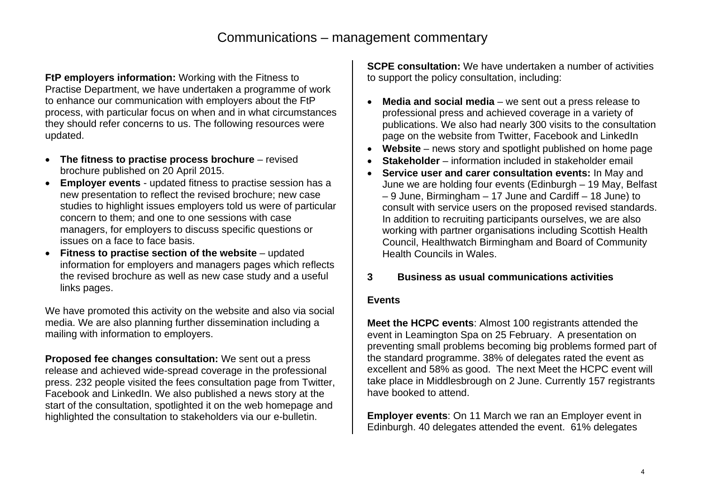**FtP employers information:** Working with the Fitness to Practise Department, we have undertaken a programme of work to enhance our communication with employers about the FtP process, with particular focus on when and in what circumstances they should refer concerns to us. The following resources were updated.

- **The fitness to practise process brochure**  revised brochure published on 20 April 2015.
- **Employer events** updated fitness to practise session has a new presentation to reflect the revised brochure; new case studies to highlight issues employers told us were of particular concern to them; and one to one sessions with case managers, for employers to discuss specific questions or issues on a face to face basis.
- **Fitness to practise section of the website** updated information for employers and managers pages which reflects the revised brochure as well as new case study and a useful links pages.

We have promoted this activity on the website and also via social media. We are also planning further dissemination including a mailing with information to employers.

**Proposed fee changes consultation:** We sent out a press release and achieved wide-spread coverage in the professional press. 232 people visited the fees consultation page from Twitter, Facebook and LinkedIn. We also published a news story at the start of the consultation, spotlighted it on the web homepage and highlighted the consultation to stakeholders via our e-bulletin.

**SCPE consultation:** We have undertaken a number of activities to support the policy consultation, including:

- 0 **Media and social media** – we sent out a press release to professional press and achieved coverage in a variety of publications. We also had nearly 300 visits to the consultation page on the website from Twitter, Facebook and LinkedIn
- . **Website** – news story and spotlight published on home page
- . **Stakeholder** – information included in stakeholder email
- . **Service user and carer consultation events:** In May and June we are holding four events (Edinburgh – 19 May, Belfast – 9 June, Birmingham – 17 June and Cardiff – 18 June) to consult with service users on the proposed revised standards. In addition to recruiting participants ourselves, we are also working with partner organisations including Scottish Health Council, Healthwatch Birmingham and Board of Community Health Councils in Wales.

# **3 Business as usual communications activities**

### **Events**

**Meet the HCPC events**: Almost 100 registrants attended the event in Leamington Spa on 25 February. A presentation on preventing small problems becoming big problems formed part of the standard programme. 38% of delegates rated the event as excellent and 58% as good. The next Meet the HCPC event will take place in Middlesbrough on 2 June. Currently 157 registrants have booked to attend.

**Employer events**: On 11 March we ran an Employer event in Edinburgh. 40 delegates attended the event. 61% delegates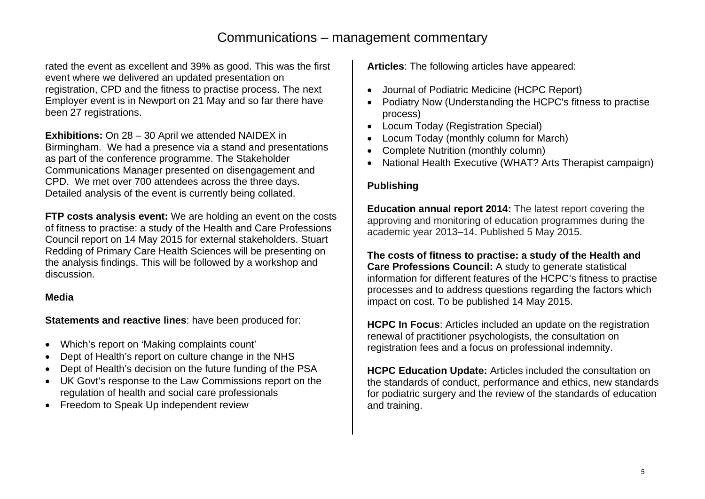# Communications – management commentary

rated the event as excellent and 39% as good. This was the first event where we delivered an updated presentation on registration, CPD and the fitness to practise process. The next Employer event is in Newport on 21 May and so far there have been 27 registrations.

**Exhibitions:** On 28 – 30 April we attended NAIDEX in Birmingham. We had a presence via a stand and presentations as part of the conference programme. The Stakeholder Communications Manager presented on disengagement and CPD. We met over 700 attendees across the three days. Detailed analysis of the event is currently being collated.

**FTP costs analysis event:** We are holding an event on the costs of fitness to practise: a study of the Health and Care Professions Council report on 14 May 2015 for external stakeholders. Stuart Redding of Primary Care Health Sciences will be presenting on the analysis findings. This will be followed by a workshop and discussion.

# **Media**

**Statements and reactive lines**: have been produced for:

- Which's report on 'Making complaints count'
- Dept of Health's report on culture change in the NHS
- Dept of Health's decision on the future funding of the PSA
- UK Govt's response to the Law Commissions report on the regulation of health and social care professionals
- Freedom to Speak Up independent review

**Articles**: The following articles have appeared:

- Journal of Podiatric Medicine (HCPC Report)
- Podiatry Now (Understanding the HCPC's fitness to practise process)
- Locum Today (Registration Special)
- Locum Today (monthly column for March)
- Complete Nutrition (monthly column)
- National Health Executive (WHAT? Arts Therapist campaign)

# **Publishing**

**Education annual report 2014:** The latest report covering the approving and monitoring of education programmes during the academic year 2013–14. Published 5 May 2015.

**The costs of fitness to practise: a study of the Health and Care Professions Council:** A study to generate statistical information for different features of the HCPC's fitness to practise processes and to address questions regarding the factors which impact on cost. To be published 14 May 2015.

**HCPC In Focus**: Articles included an update on the registration renewal of practitioner psychologists, the consultation on registration fees and a focus on professional indemnity.

**HCPC Education Update:** Articles included the consultation on the standards of conduct, performance and ethics, new standards for podiatric surgery and the review of the standards of education and training.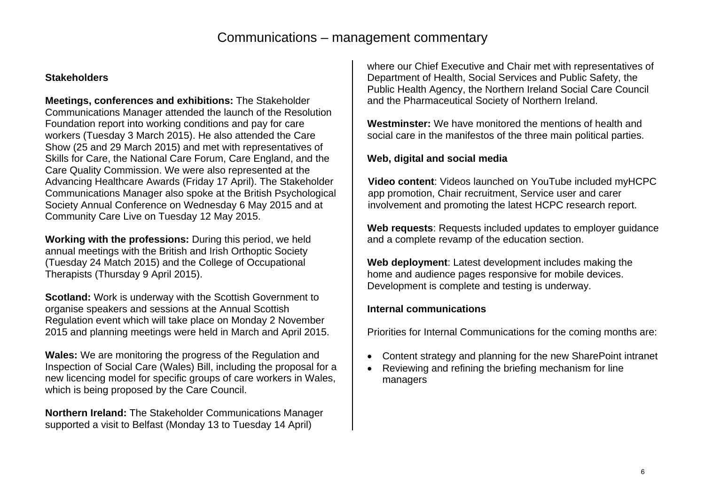# Communications – management commentary

# **Stakeholders**

**Meetings, conferences and exhibitions:** The Stakeholder Communications Manager attended the launch of the Resolution Foundation report into working conditions and pay for care workers (Tuesday 3 March 2015). He also attended the Care Show (25 and 29 March 2015) and met with representatives of Skills for Care, the National Care Forum, Care England, and the Care Quality Commission. We were also represented at the Advancing Healthcare Awards (Friday 17 April). The Stakeholder Communications Manager also spoke at the British Psychological Society Annual Conference on Wednesday 6 May 2015 and at Community Care Live on Tuesday 12 May 2015.

**Working with the professions:** During this period, we held annual meetings with the British and Irish Orthoptic Society (Tuesday 24 Match 2015) and the College of Occupational Therapists (Thursday 9 April 2015).

**Scotland:** Work is underway with the Scottish Government to organise speakers and sessions at the Annual Scottish Regulation event which will take place on Monday 2 November 2015 and planning meetings were held in March and April 2015.

**Wales:** We are monitoring the progress of the Regulation and Inspection of Social Care (Wales) Bill, including the proposal for a new licencing model for specific groups of care workers in Wales, which is being proposed by the Care Council.

**Northern Ireland:** The Stakeholder Communications Manager supported a visit to Belfast (Monday 13 to Tuesday 14 April)

where our Chief Executive and Chair met with representatives of Department of Health, Social Services and Public Safety, the Public Health Agency, the Northern Ireland Social Care Council and the Pharmaceutical Society of Northern Ireland.

**Westminster:** We have monitored the mentions of health and social care in the manifestos of the three main political parties.

# **Web, digital and social media**

**Video content**: Videos launched on YouTube included myHCPC app promotion, Chair recruitment, Service user and carer involvement and promoting the latest HCPC research report.

**Web requests**: Requests included updates to employer guidance and a complete revamp of the education section.

**Web deployment**: Latest development includes making the home and audience pages responsive for mobile devices. Development is complete and testing is underway.

#### **Internal communications**

Priorities for Internal Communications for the coming months are:

- Content strategy and planning for the new SharePoint intranet
- Reviewing and refining the briefing mechanism for line managers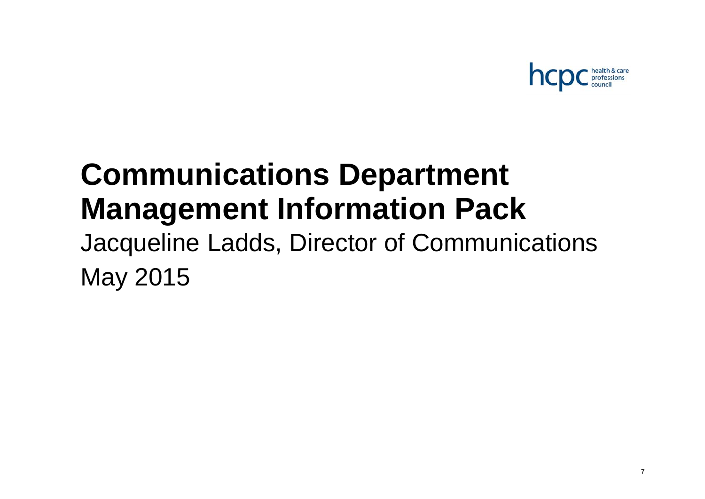

# **Communications Department Management Information Pack**

Jacqueline Ladds, Director of Communications May 2015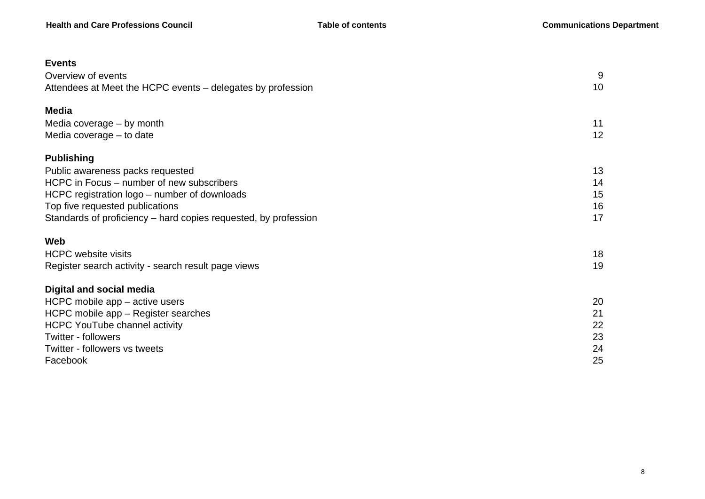| <b>Events</b>                                                   |    |
|-----------------------------------------------------------------|----|
| Overview of events                                              | 9  |
| Attendees at Meet the HCPC events – delegates by profession     | 10 |
| <b>Media</b>                                                    |    |
| Media coverage - by month                                       | 11 |
| Media coverage – to date                                        | 12 |
| <b>Publishing</b>                                               |    |
| Public awareness packs requested                                | 13 |
| HCPC in Focus – number of new subscribers                       | 14 |
| HCPC registration logo - number of downloads                    | 15 |
| Top five requested publications                                 | 16 |
| Standards of proficiency – hard copies requested, by profession | 17 |
| Web                                                             |    |
| <b>HCPC</b> website visits                                      | 18 |
| Register search activity - search result page views             | 19 |
| <b>Digital and social media</b>                                 |    |
| HCPC mobile app – active users                                  | 20 |
| HCPC mobile app - Register searches                             | 21 |
| <b>HCPC YouTube channel activity</b>                            | 22 |
| <b>Twitter - followers</b>                                      | 23 |
| Twitter - followers vs tweets                                   | 24 |
| Facebook                                                        | 25 |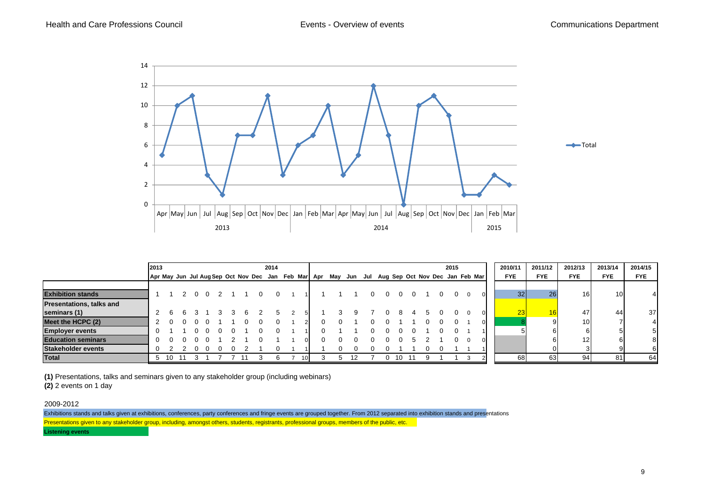

|                                 | 2013     |           |    |          |  |  | 2014 |  |                                                                                                 |  |  |  |  |  | 2015 |        | 2010/11         | 2011/12    | 2012/13         | 2013/14         | 2014/15    |
|---------------------------------|----------|-----------|----|----------|--|--|------|--|-------------------------------------------------------------------------------------------------|--|--|--|--|--|------|--------|-----------------|------------|-----------------|-----------------|------------|
|                                 |          |           |    |          |  |  |      |  | Apr May Jun Jul Aug Sep Oct Nov Dec Jan Feb Mar Apr May Jun Jul Aug Sep Oct Nov Dec Jan Feb Mar |  |  |  |  |  |      |        | <b>FYE</b>      | <b>FYE</b> | <b>FYE</b>      | <b>FYE</b>      | <b>FYE</b> |
|                                 |          |           |    |          |  |  |      |  |                                                                                                 |  |  |  |  |  |      |        |                 |            |                 |                 |            |
| <b>Exhibition stands</b>        |          |           |    | $\Omega$ |  |  | 0    |  |                                                                                                 |  |  |  |  |  |      |        | 32 <sub>l</sub> | 26         | 16              | 10 <sup>1</sup> | 4          |
| <b>Presentations, talks and</b> |          |           |    |          |  |  |      |  |                                                                                                 |  |  |  |  |  |      |        |                 |            |                 |                 |            |
| seminars (1)                    |          |           |    |          |  |  |      |  |                                                                                                 |  |  |  |  |  |      |        | 23              |            | 47              | 44              | 37         |
| Meet the HCPC (2)               |          |           |    |          |  |  |      |  |                                                                                                 |  |  |  |  |  |      |        |                 |            | 10              |                 | 4          |
| <b>Employer events</b>          |          |           |    |          |  |  |      |  |                                                                                                 |  |  |  |  |  |      |        |                 |            |                 |                 | 5          |
| <b>Education seminars</b>       | $\Omega$ |           |    |          |  |  |      |  |                                                                                                 |  |  |  |  |  |      |        |                 |            | 12 <sub>1</sub> |                 | 8          |
| Stakeholder events              |          |           |    |          |  |  |      |  |                                                                                                 |  |  |  |  |  |      |        |                 |            |                 |                 | 6          |
| <b>Total</b>                    |          | -10<br>5. | 11 |          |  |  | 6.   |  |                                                                                                 |  |  |  |  |  |      | $\sim$ | 68              | 63         | 94              | 81              | 64         |

**(1)** Presentations, talks and seminars given to any stakeholder group (including webinars)

**(2)** 2 events on 1 day

2009-2012

Exhibitions stands and talks given at exhibitions, conferences, party conferences and fringe events are grouped together. From 2012 separated into exhibition stands and presentations Presentations given to any stakeholder group, including, amongst others, students, registrants, professional groups, members of the public, etc.

**Listening events**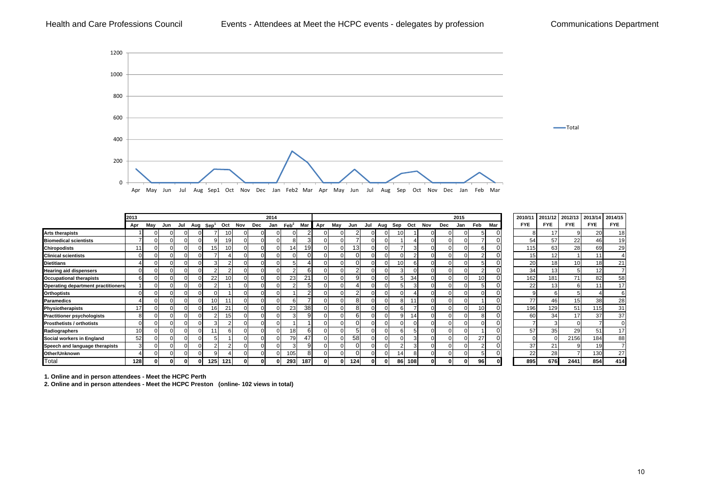#### Health and Care Professions Council **Events - Attendees at Meet the HCPC events - delegates by profession** Communications Department



|                                           | 2013     |              |          |                          |     |     |     |          | 2014     |                |     |          |     |              |     |     |     |     |     |          | 2015     |                 |     | 2010/11    |     | 2011/12    | 2012/13    | 2013/14    | 2014/15        |
|-------------------------------------------|----------|--------------|----------|--------------------------|-----|-----|-----|----------|----------|----------------|-----|----------|-----|--------------|-----|-----|-----|-----|-----|----------|----------|-----------------|-----|------------|-----|------------|------------|------------|----------------|
|                                           | Apr      | May          | Jun      | Jul Aug Sep <sup>1</sup> |     | Oct | Nov | Dec      | Jan      | $\text{Feb}^2$ | Mar | Apr      | May | Jun          | Jul | Aug | Sep | Oct | Nov | Dec      | Jan      | Feb             | Mar | <b>FYE</b> |     | <b>FYE</b> | <b>FYE</b> | <b>FYE</b> | <b>FYE</b>     |
| <b>Arts therapists</b>                    |          | $\Omega$     | $\Omega$ |                          |     |     |     |          |          |                |     |          |     |              |     |     |     |     |     |          |          |                 |     |            |     | 17         |            | 20         | 18             |
| <b>Biomedical scientists</b>              |          | $\Omega$     | $\Omega$ |                          |     |     |     |          |          |                |     |          |     |              |     |     |     |     |     | $\Omega$ | $\Omega$ |                 |     |            | 54  | 57         | 22         | 46         | 1 <sup>c</sup> |
| <b>Chiropodists</b>                       | 11       | $\Omega$     | $\Omega$ |                          | 15  |     |     |          |          | 14             | 19  |          |     | 13           |     |     |     |     |     | $\Omega$ |          | 'n              |     |            | 115 | 63         | 28         | 69         | 29             |
| <b>Clinical scientists</b>                | 0        | $\Omega$     | $\Omega$ |                          |     |     |     |          |          |                |     |          |     |              |     |     |     |     |     | U        |          |                 |     |            | 15  | 12         |            | 11         |                |
| <b>Dietitians</b>                         |          | $\Omega$     | $\Omega$ |                          |     |     |     | $\Omega$ |          |                |     |          |     |              |     |     | 10  |     |     | $\Omega$ | 0        |                 |     |            | 20  | 18         |            | 18         | 21             |
| <b>Hearing aid dispensers</b>             | $\Omega$ | $\Omega$     | $\Omega$ |                          |     |     |     | $\Omega$ | $\Omega$ |                |     | $\Omega$ |     |              |     |     |     |     |     | $\Omega$ | U        |                 |     |            | 34  | 13         |            | 12         |                |
| <b>Occupational therapists</b>            | 6        | $\Omega$     | $\Omega$ |                          | 22  |     |     | $\Omega$ |          | 23             | 21  |          |     | g            |     |     |     | 34  |     | $\Omega$ |          | 10 <sub>1</sub> |     |            | 162 | 181        | 71         | 82         | 58             |
| <b>Operating department practitioners</b> |          | $\Omega$     | $\Omega$ |                          |     |     |     |          |          |                |     |          |     |              |     |     |     |     |     | $\Omega$ |          |                 |     |            | 22  | 13         |            |            |                |
| <b>Orthoptists</b>                        |          | $\Omega$     | $\Omega$ |                          |     |     |     |          |          |                |     |          |     |              |     |     |     |     |     | U        |          |                 |     |            |     |            |            |            |                |
| <b>Paramedics</b>                         |          | $\Omega$     | $\Omega$ |                          | 10  |     |     | $\Omega$ |          |                |     | $\Omega$ |     | o            |     |     |     |     |     | $\Omega$ | U        |                 |     |            | 77  | 46         | 15         | 38         | 28             |
| Physiotherapists                          | 17       | $\Omega$     | $\Omega$ |                          | 16  | 21  |     | $\Omega$ |          | 23             | 38  |          |     | 8            |     |     |     |     |     | $\Omega$ | $\Omega$ | 10 <sup>1</sup> |     |            | 196 | 129        | 51         | 115        | 31             |
| <b>Practitioner psychologists</b>         | 8        | $\Omega$     | $\Omega$ |                          |     | 15  |     |          |          |                |     |          |     | <sub>n</sub> |     |     |     | 14  |     | $\Omega$ | U        |                 |     |            | 60  | 34         |            | 37         | 37             |
| <b>Prosthetists / orthotists</b>          | $\Omega$ | $\Omega$     | $\Omega$ |                          |     |     |     | O        |          |                |     | $\Omega$ |     |              |     |     |     |     |     | $\Omega$ | U        |                 |     |            |     | 3          |            |            |                |
| Radiographers                             | 10       | $\Omega$     | $\Omega$ |                          |     |     |     |          |          | 18             |     |          |     |              |     |     |     |     |     |          |          |                 |     |            | 57  | 35         | 29         | 51         | 17             |
| Social workers in England                 | 52       | <sup>n</sup> |          |                          |     |     |     |          |          | 79             | 47  |          |     | 58           |     |     |     |     |     |          |          | 27              |     |            |     |            | 2156       | 184        | 88             |
| Speech and language therapists            | 3        | $\Omega$     | $\Omega$ |                          |     |     |     | $\Omega$ |          |                |     | $\Omega$ |     |              |     |     |     |     |     | $\Omega$ | O        |                 |     |            | 37  | 21         |            | 19         |                |
| Other/Unknown                             |          | $\Omega$     | $\Omega$ |                          | a   |     |     |          |          | 105            |     | O        |     | O            |     |     | 14  |     |     | $\Omega$ | 0        |                 |     |            | 22  | 28         |            | 130        | 27             |
| Total                                     | 128      | 01           | 01       | 0                        | 125 | 121 |     |          |          | 293            | 187 |          |     | 124          |     |     | 86  | 108 |     | 0        | $\bf{0}$ | 96              |     |            | 895 | 676        | 2441       | 854        | 414            |

**1. Online and in person attendees - Meet the HCPC Perth**

**2. Online and in person attendees - Meet the HCPC Preston (online- 102 views in total)**

414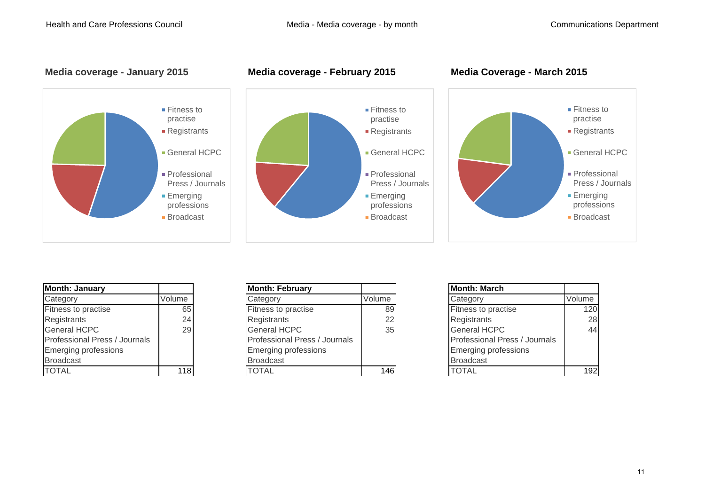#### **Media coverage - January 2015 Media coverage - February 2015 Media Coverage - March 2015**







| <b>Month: January</b>         |        |
|-------------------------------|--------|
| Category                      | Volume |
| Fitness to practise           | 65     |
| Registrants                   | 24     |
| <b>General HCPC</b>           | 29     |
| Professional Press / Journals |        |
| <b>Emerging professions</b>   |        |
| <b>Broadcast</b>              |        |
|                               |        |

| <b>Month: January</b>         |        | <b>Month: February</b>        |        | <b>Month: March</b>           |        |
|-------------------------------|--------|-------------------------------|--------|-------------------------------|--------|
| Category                      | Volume | Category                      | Volume | Category                      | Volume |
| Fitness to practise           | 65     | <b>Fitness to practise</b>    | 89     | <b>Fitness to practise</b>    | 120    |
| Registrants                   | 24     | Registrants                   | 22     | Registrants                   | 28     |
| General HCPC                  | 29     | <b>General HCPC</b>           | 35     | <b>General HCPC</b>           | 44     |
| Professional Press / Journals |        | Professional Press / Journals |        | Professional Press / Journals |        |
| Emerging professions          |        | <b>Emerging professions</b>   |        | <b>Emerging professions</b>   |        |
| Broadcast                     |        | <b>Broadcast</b>              |        | <b>Broadcast</b>              |        |
| TOTAL                         | 118    | <b>TOTAL</b>                  | 146    | <b>TOTAL</b>                  | 192    |

| <b>Month: March</b>           |        |
|-------------------------------|--------|
| Category                      | Volume |
| Fitness to practise           | 120    |
| Registrants                   | 28     |
| <b>General HCPC</b>           | 44     |
| Professional Press / Journals |        |
| <b>Emerging professions</b>   |        |
| <b>Broadcast</b>              |        |
| TOTAI                         |        |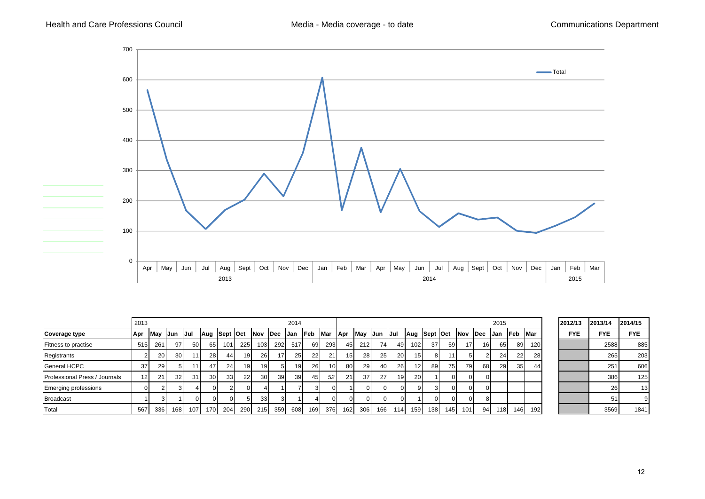

|                               | 2013            |      |                 |                 |                 |                 |          |                 |     | 2014            |                 |                 |                  |              |             |           |                 |                  |          |                 |             | 2015       |                 |                  | 2012/13    | 2013/14         | 2014/15    |
|-------------------------------|-----------------|------|-----------------|-----------------|-----------------|-----------------|----------|-----------------|-----|-----------------|-----------------|-----------------|------------------|--------------|-------------|-----------|-----------------|------------------|----------|-----------------|-------------|------------|-----------------|------------------|------------|-----------------|------------|
| <b>Coverage type</b>          | Apr             | May  | Jun             | IJul            | Aug Sept Oct    |                 |          | Nov Dec         |     | IJan            | <b>Feb</b>      | Mar             | <b>Apr</b>       | May          | <b>IJun</b> | - IJul    | Aug Sept Oct    |                  |          | <b>INov</b>     | <b>IDec</b> | <b>Jan</b> | lFeb.           | <b>IMar</b>      | <b>FYE</b> | <b>FYE</b>      | <b>FYE</b> |
| <b>Fitness to practise</b>    | 515             | 261  | 97 I            | <b>501</b>      | 65 I            | 101             | 225      | 103             | 292 | 517             | 69 I            | 293             | 45               | 212          | 74          | 49        | 102             | -37 I            | 59 I     | 17 <sup>1</sup> | 16          | 65 I       | 89              | 120 <sub>l</sub> |            | 2588            | 885        |
| Registrants                   |                 | 20   | 30 <sup>l</sup> | 11              | <b>28</b>       | 441             | 19       | <b>26</b>       | 17  | 25 <sup>1</sup> | 22              | 211             | 15 <sup>1</sup>  | 28           | 25          | 20        | 15              | 81               |          |                 |             | 24         | 22              | 28               |            | 265             | 203        |
| <b>General HCPC</b>           | 37              | 29 I |                 | 111             | 47              | 24              | 19       | 19 <sup>1</sup> |     |                 | <b>26</b>       | 10 <sup>1</sup> | 80 l             | 29           | 40          | <b>26</b> | 12 <sub>1</sub> | 891              | 75       | 79              | 68I         | <b>29</b>  | 35 <sup>1</sup> | 44               |            | 25 <sup>′</sup> | 606        |
| Professional Press / Journals | 12 <sup>1</sup> | 21   | 32 <sub>l</sub> | 31 <sup>1</sup> | 30 <sup>l</sup> | 33 <sup>1</sup> | 22       | 30 <sup>l</sup> | 39  | 39 I            | 45 <sub>l</sub> | 52 <sub>1</sub> | 21               | 37           | 27          | 19        | <b>20</b>       |                  | ΩI       |                 |             |            |                 |                  |            | 386             | 125        |
| <b>Emerging professions</b>   | $\Omega$        |      |                 |                 |                 |                 | $\Omega$ |                 |     |                 | 31              | $\Omega$        |                  |              |             |           |                 | 31               | $\Omega$ |                 |             |            |                 |                  |            | 26              | 13         |
| <b>Broadcast</b>              |                 |      |                 |                 |                 | $\Omega$        |          | 33              |     |                 |                 | $\Omega$        | $\Omega$         |              |             |           |                 | οI               | $\Omega$ |                 |             |            |                 |                  |            | 5               |            |
| Total                         | 567             | 336  | 168 I           | 107             | 170 I           | 204             | 290      | 215             | 359 | 608             | 169 <b>I</b>    | 376             | 162 <sup>1</sup> | 306 <b>I</b> | 1661        | 114       | 159             | 138 <sup>l</sup> | 145      | 101             | 94          | 1181       | 146 <b>I</b>    | 192              |            | 3569            | 1841       |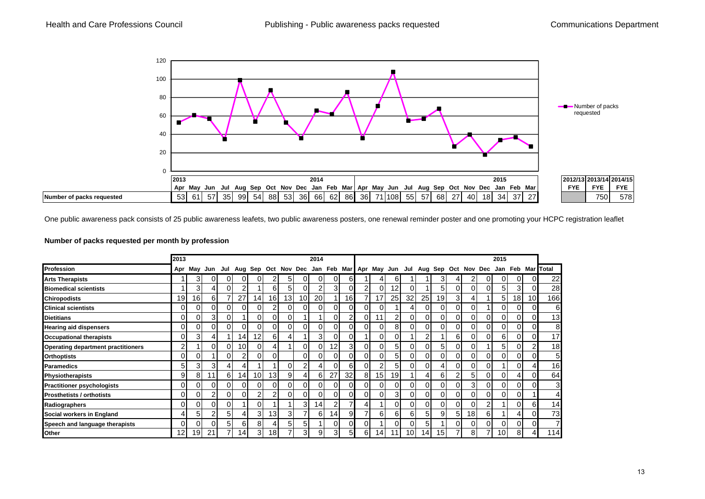

One public awareness pack consists of 25 public awareness leafets, two public awareness posters, one renewal reminder poster and one promoting your HCPC registration leaflet

#### **Number of packs requested per month by profession**

|                                           | 2013           |                 |    |    |                 |                 |                 |    |                 | 2014           |                 |                |                |                 |                 |                 |                                                                             |          |    |                 |          | 2015     |          |    |                   |
|-------------------------------------------|----------------|-----------------|----|----|-----------------|-----------------|-----------------|----|-----------------|----------------|-----------------|----------------|----------------|-----------------|-----------------|-----------------|-----------------------------------------------------------------------------|----------|----|-----------------|----------|----------|----------|----|-------------------|
| <b>Profession</b>                         | Apr            | May             |    |    |                 |                 |                 |    |                 |                |                 |                |                |                 |                 |                 | Jun Jul Aug Sep Oct Nov Dec Jan Feb Mar Apr May Jun Jul Aug Sep Oct Nov Dec |          |    |                 |          |          |          |    | Jan Feb Mar Total |
| <b>Arts Therapists</b>                    |                | 3               |    | ΩI | 0               | ΩI              | 2               | 5  | ΟI              | ΟI             | $\overline{0}$  | 6 <sub>1</sub> |                |                 | 6               |                 |                                                                             | 3        |    | $\overline{2}$  |          |          | ΩI       |    | 22                |
| <b>Biomedical scientists</b>              |                | 3 <sub>l</sub>  |    | ΩI | 2               |                 | 6               | 51 | ΟI              | 2              | 31              | $\Omega$       | $\overline{2}$ | 0               | 12              | 0               |                                                                             | 5        | ΩI | 0               |          | 5        | 3        |    | 28                |
| <b>Chiropodists</b>                       | 19             | 16 <sub>1</sub> | 61 |    | 27              | 14 <sub>1</sub> | 16 <sub>1</sub> | 13 | 10 <sup>1</sup> | <b>20</b>      |                 | 16             |                | 17              | 25 <sub>l</sub> | 32 <sub>l</sub> | 25                                                                          | 19       | 3  | $\overline{4}$  |          | 5        | 18       | 10 | 166               |
| <b>Clinical scientists</b>                | 0              | 0               |    | 01 | $\Omega$        | $\Omega$        | 2               |    | 01              | $\overline{0}$ | 0               | $\overline{0}$ | $\Omega$       | 0               |                 | 41              | 0                                                                           | $\Omega$ | ΟI | $\overline{0}$  |          | 0        | 01       |    | 6                 |
| <b>Dietitians</b>                         | 0              | 0               | 3  | ΩI |                 | ΩI              | 0               |    |                 |                | 01              | 2              | $\Omega$       | 11              | $\overline{2}$  | 01              | 0                                                                           | $\Omega$ | ΩI | $\overline{0}$  | 0        | 0        | ΩI       |    | 13                |
| <b>Hearing aid dispensers</b>             | 0              | 0               |    | 01 | $\Omega$        | ΟI              | $\overline{0}$  |    | ΟI              | 01             | 01              | 01             | $\Omega$       | 0               | 81              | ΟI              | 0                                                                           | $\Omega$ | ΟI | $\overline{0}$  | $\Omega$ | 0        | ΟI       |    | 8                 |
| <b>Occupational therapists</b>            | 0              | 3               |    |    | 14              | 12 <sub>l</sub> | 6               | 41 |                 | 31             | $\overline{0}$  | 01             |                | 0               | 0I              |                 | 2                                                                           |          | 61 | 0I              | 0        | 6        | 01       |    | 17                |
| <b>Operating department practitioners</b> | $\overline{2}$ |                 |    | 0  | 10              | $\Omega$        | 4               |    | ΟI              | οI             | 12 <sub>1</sub> | 3 <sub>l</sub> | $\Omega$       | 0               | 51              | 01              | 0                                                                           | 5        | ΩI | $\overline{0}$  |          | 5        | ΟI       |    | 18                |
| <b>Orthoptists</b>                        | $\Omega$       | 01              |    | ΩI | 2               | $\Omega$        | 0               |    | οı              | ΟI             | $\overline{0}$  | 0              | $\Omega$       | 01              | 51              | ٥I              | 0                                                                           | 0        | ΩI | ΟI              |          | 0        | 01       |    | 5                 |
| Paramedics                                | 5              | 3               | 3  | 4  |                 |                 |                 |    | 2 <sub>1</sub>  | 41             | $\overline{0}$  | 6              | ΩI             | 2               | 51              | 0               | 0                                                                           |          | ΩI | ΟI              |          |          | $\Omega$ |    | 16                |
| <b>Physiotherapists</b>                   | 9              | 8               | 11 | 6  | 14 <sup>1</sup> | 10 <sup>1</sup> | 13 <sub>1</sub> | 9  | 41              | 61             | 27              | 32             | 8              | 15              | 19 <sup>l</sup> |                 | 4                                                                           | 6        |    | 5               | 01       | $\Omega$ |          |    | 64                |
| <b>Practitioner psychologists</b>         | 0              | 01              |    | ΩI | $\Omega$        | ΟI              | 0               |    | Οl              | ΟI             | 01              | $\Omega$       | 0              | $\Omega$        | 0I              | 01              | 0                                                                           | $\Omega$ |    | 31              |          | 0        | 0        |    | 3                 |
| <b>Prosthetists / orthotists</b>          | 01             | 01              |    | ΩI | 0               | $\overline{2}$  | 2               |    | ΟI              | 0              | 01              | 0              | $\Omega$       | 0               | 31              | 01              |                                                                             | $\Omega$ |    | 01              |          |          | 0        |    | 4                 |
| Radiographers                             | $\Omega$       | 0               |    | Ωl |                 | $\Omega$        |                 |    | 31              | 141            | 2               |                |                |                 | ΩI              | 01              | 0                                                                           | $\Omega$ |    | ΩI              |          |          | 0        |    | 14                |
| Social workers in England                 | 4              | 5               |    | 51 |                 | $\overline{3}$  | 13 <sub>1</sub> | 3  |                 | 61             | 14 <sup>1</sup> | 9              |                | 6               | 61              | 61              | 5                                                                           | 9        | 5. | 18 <sub>l</sub> | 61       |          |          |    | 73                |
| Speech and language therapists            | ΩI             | $\Omega$        |    | 51 | 6               | 8               | 4               | 5  | 51              |                | $\overline{0}$  |                | $\Omega$       |                 | $\Omega$        | ΩI              | 5                                                                           |          | nι | 0               |          | 0        | $\Omega$ |    | 7                 |
| Other                                     | 12             | 19 <sub>1</sub> | 21 |    | 14 <sub>1</sub> | 3 <sup>l</sup>  | 18 <sub>1</sub> |    | 31              | 9              | 31              | 51             | 61             | 14 <sup>1</sup> | 11              | 10 <sub>l</sub> | 14.                                                                         | 15       |    | 8               |          | 10       | 8        |    | 114               |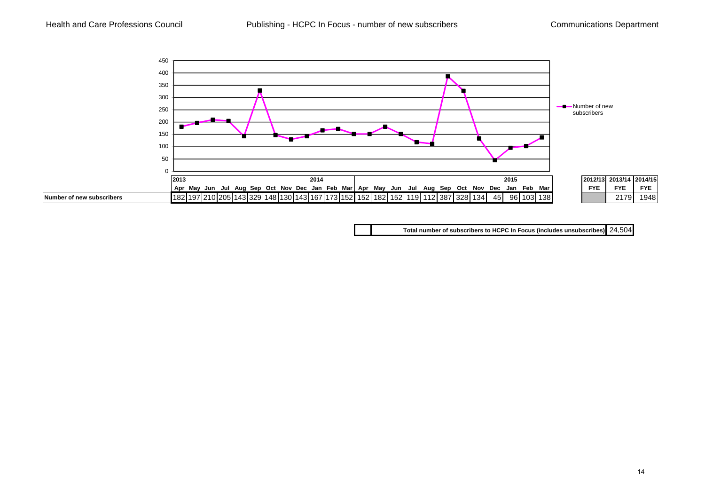

**Total number of subscribers to HCPC In Focus (includes unsubscribes)** 24,504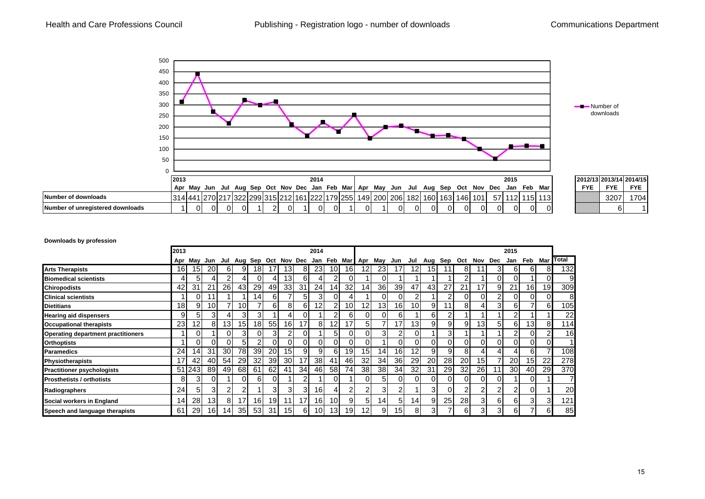

#### **Downloads by profession**

|                                           | 2013            |        |                 |                 |                 |                 |    |                     |                   | 2014            |                 |                 |                 |                 |                 |                 |                 |                 |                |         |                | 2015      |                 |           |              |
|-------------------------------------------|-----------------|--------|-----------------|-----------------|-----------------|-----------------|----|---------------------|-------------------|-----------------|-----------------|-----------------|-----------------|-----------------|-----------------|-----------------|-----------------|-----------------|----------------|---------|----------------|-----------|-----------------|-----------|--------------|
|                                           | Apr             | May    | Jun             | Jul             |                 |                 |    | Aug Sep Oct Nov Dec |                   |                 | Jan Feb Mar Apr |                 |                 | May             | Jun             | Jul             | Aug             | Sep             | Oct            | Nov Dec |                | Jan       | Feb             | Mar       | <b>Total</b> |
| <b>Arts Therapists</b>                    | 16              | 15     | <b>20</b>       | 61              | 9               | 181             |    | 131                 | 81                | <b>231</b>      | 10I             | 16I             | 12              | <b>231</b>      |                 | 12              | 15I             |                 | 81             |         | 31             | 61        | 61              | 81        | 132          |
| <b>Biomedical scientists</b>              |                 | 51     | 4               |                 |                 | ΩI              | 4  | 13                  | 61                | 4               | 2               | ΩI              |                 |                 |                 |                 |                 |                 | 2              |         | 01             | ΩI        |                 |           | 9            |
| <b>Chiropodists</b>                       | 42              | 31     | 21              | 26I             | 431             | 29              | 49 | 33 <sup>1</sup>     | 31                | 24              | 141             | 32 <sub>l</sub> | 14              | <b>36</b>       | 39 <sub>l</sub> | 47              | 43 <sub>l</sub> | 27              | 21             | 17      | 9              | 21        | 16              | 19        | 309          |
| <b>Clinical scientists</b>                |                 | 0      | 1               |                 |                 | 14 <sub>1</sub> | 6  |                     | 51                | 31              | 0               |                 |                 | Οl              | $\Omega$        | 2               |                 | 2               | Οl             | ΩI      | $\overline{2}$ | ΩI        | $\Omega$        |           | 8            |
| <b>Dietitians</b>                         | 18 <sup>l</sup> | 9      | 10 <sup>1</sup> |                 | 10 <sup>1</sup> |                 | 6  | 81                  | 61                | 12 <sub>1</sub> | 2 <sub>1</sub>  | 10 <sup>1</sup> | 12              | 13 <sup>l</sup> | 16 <sup>l</sup> | 10 <sup>1</sup> | 9               | 11              | 8              |         | 31             | 6         |                 | 61        | 105          |
| <b>Hearing aid dispensers</b>             | 9               | 5      | 31              |                 | $\overline{3}$  | 3               |    |                     |                   |                 | 2               | 61              | $\Omega$        |                 | 6               |                 | 61              | $\overline{2}$  |                |         |                |           |                 |           | 22           |
| <b>Occupational therapists</b>            | 23              | 12     | 81              | 13I             | 15 <sup>1</sup> | 18              | 55 | 16                  | 17                | 8               | 12 <sub>1</sub> | 17              | 5               |                 | 17              | 13 <sub>l</sub> | 9               | 9               | 9              | 13      | 5              | 6         | 13 <sub>l</sub> | 81        | 114          |
| <b>Operating department practitioners</b> |                 |        |                 | ΩI              | 31              | 01              | 3  |                     |                   |                 | 51              | 0I              | $\Omega$        | 31              |                 | 0               |                 | $\overline{3}$  |                |         |                |           | $\Omega$        |           | 16           |
| <b>Orthoptists</b>                        |                 | n.     | ΩI              | ΩI              | 5               | 2               | 0  | ΩI                  |                   | 0               | 01              | 0I              | $\Omega$        |                 | $\Omega$        | 0               | ΩI              | 0               | Οl             |         | 0              | ΩI        | $\Omega$        |           |              |
| <b>Paramedics</b>                         | 24              | 14     | 31              | 30I             | 78              | 39 <sub>l</sub> | 20 | 15 <sub>l</sub>     | 9                 | 9               | 61              | 19              | 15 <sup>1</sup> | 141             | 16              | 12              | 91              | 9               | 8              |         | 41             |           | 6               |           | 108          |
| <b>Physiotherapists</b>                   | 17              | 42     | 40              | 54              | <b>291</b>      | 32              | 39 | 30 <sup>1</sup>     | 17                | 38 <sup>l</sup> | 41              | 46              | 32              | 34              | 36 <sup>1</sup> | 29              | 20 <sub>l</sub> | <b>28</b>       | 20             | 15      | $\overline{ }$ | <b>20</b> | 15              | 22        | 278          |
| <b>Practitioner psychologists</b>         |                 | 51 243 | 89              | 49              | 68I             | 61              | 62 | 41                  | 34                | 46I             | 58I             | 74              | 38              | 38 <sup>l</sup> | 34              | 32              | 31              | <b>29</b>       | 32             | 26      | 11             | 30I       | 40              | <b>29</b> | 370          |
| <b>Prosthetists / orthotists</b>          | 81              | 3      | ΩI              |                 | ΩI              | 6               | 0  |                     | $\mathcal{P}_{1}$ |                 | 0               |                 | $\Omega$        | 51              | $\Omega$        | 0               | ΩI              | 01              | 0              | ΩI      | 01             |           | $\Omega$        |           |              |
| Radiographers                             | 24              | 51     | 3               |                 |                 |                 | 3  | 31                  | 31                | 16              |                 | 21              | 2               | 31              | າ               |                 | 31              | 0               | $\overline{2}$ |         | 2              |           | 0               |           | 20           |
| Social workers in England                 | 14              | 28     | 13 <sup>l</sup> | 81              | 17              | 16              | 19 | 11                  | 17 <sub>1</sub>   | 16 <sub>1</sub> | 10 <sup>1</sup> | 91              | 5               | 14 I            | 51              | 14              | 91              | 25 <sub>l</sub> | 28             |         | 61             | 61        | 3               |           | 121          |
| Speech and language therapists            | 61              | 29     | 161             | 14 <sub>l</sub> | 35 <sub>l</sub> | 53 <sub>l</sub> | 31 | 15 <sup>1</sup>     | 6                 | 10 <sub>l</sub> | 13 <sub>l</sub> | 19              | 12 <sub>1</sub> | 9               | 15 <sup>1</sup> | 8               | 31              |                 | 61             | 31      | 31             | 61        |                 | 61        | 85           |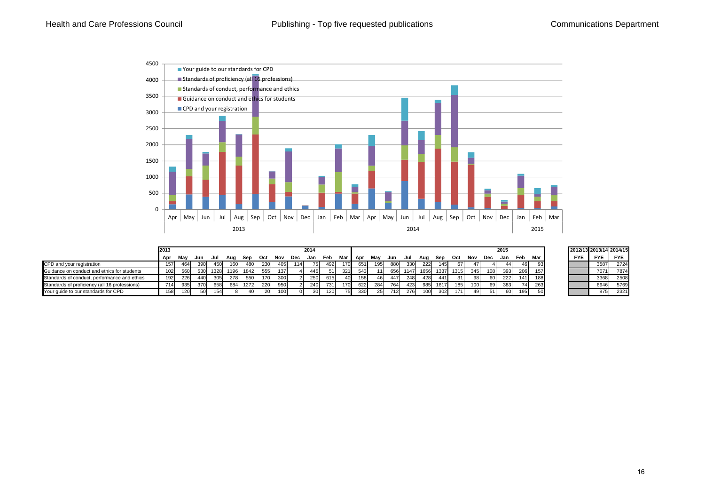

|                                               | 2013             |     |     |                 |      |      |     |      |     | 2014       |            |                 |       |                 |     |      |      |      |       |     |     | 2015 |     |     |            | 2012/13 2013/14 2014/15 |            |
|-----------------------------------------------|------------------|-----|-----|-----------------|------|------|-----|------|-----|------------|------------|-----------------|-------|-----------------|-----|------|------|------|-------|-----|-----|------|-----|-----|------------|-------------------------|------------|
|                                               | Apr              | Mav | Jun | Jul             | Aua  | Sep  | Oct | Nov  | Dec | Jan        | Feb        | Mar             | i Apr | Mav             | Jun | Jul  | Aua  | Sep  | Oct   | Nov | Dec | Jan  | Feb | Mar | <b>FYE</b> | <b>FYE</b>              | <b>FYE</b> |
| CPD and your registration                     | 157              | 464 | 390 | 45 <sub>C</sub> | 160  | 480  | 230 | 405  | 114 |            | 492        | 170             | 651   | 195             | 880 | 330  | 222  | 145  | 67    | 471 |     |      | 461 | ରସା |            | 3587                    | 2724       |
| Guidance on conduct and ethics for students   | 102 <sub>l</sub> | 560 | 530 | 1328            | 1196 | 1842 | 555 | 1371 |     | 445        | 511        | 321             | 543   | 11 I            | 656 | 1147 | 1656 | 1337 | 1315  | 345 | 108 | 393  | 206 | 157 |            | 7071                    | 7874       |
| Standards of conduct, performance and ethics  | 192              | 226 | 440 | 305             | 278  | 550  | 170 | 300  |     | 250<br>zou | 615        | 40 <sup>l</sup> | 158   | 461             | 447 | 248  | 428  | 441  | 311   | 98  |     | 222  | 141 | 188 |            | 3368                    | 2508       |
| Standards of proficiency (all 16 professions) | 714              | 935 | 370 | 658             | 684  | 1272 | 220 | 950  |     | 240        | <b>731</b> | 170             | 622   | 284             | 764 | 423  | 985  | 1617 | 1851  | 100 | 69  | 383  | 74  | 263 |            | 6946                    | 5769       |
| Your quide to our standards for CPD           | 158              | 120 |     | 154             |      | 40.  |     | 100  |     |            | 120        | 75.             | 330   | 25 <sub>1</sub> | 712 | 276  | 100  | 302  | $171$ |     | 51  | 60   | 195 |     |            | 875                     | 2321       |

|            |            | 2012/13 2013/14 2014/15 |
|------------|------------|-------------------------|
| <b>FYE</b> | <b>FYE</b> | <b>FYE</b>              |
|            | 3587       | 2724                    |
|            | 7071       | 7874                    |
|            | 3368       | 2508                    |
|            | 6946       | 5769                    |
|            | 875        | 2321                    |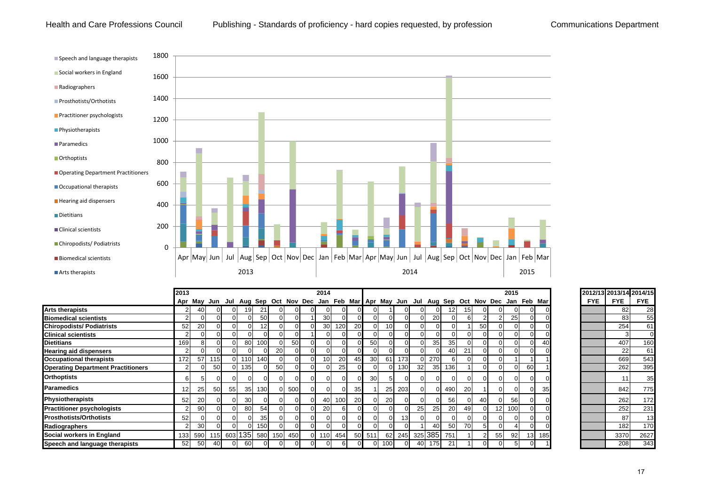#### Health and Care Professions Council Publishing - Standards of proficiency - hard copies requested, by profession Communications Department



|                                           | 2013            | Apr May Jun Jul Aug Sep Oct Nov Dec Jan Feb Mar Apr May Jun Jul Aug Sep Oct Nov Dec Jan Feb Mar |           |    |                 |                         |    |       |                | 2014            |     |    |                 |                 |                 |           |                  |             |           |          |    | 2015     |     |     | 2012/13 2013/14 2014/15 |            |            |
|-------------------------------------------|-----------------|-------------------------------------------------------------------------------------------------|-----------|----|-----------------|-------------------------|----|-------|----------------|-----------------|-----|----|-----------------|-----------------|-----------------|-----------|------------------|-------------|-----------|----------|----|----------|-----|-----|-------------------------|------------|------------|
|                                           |                 |                                                                                                 |           |    |                 |                         |    |       |                |                 |     |    |                 |                 |                 |           |                  |             |           |          |    |          |     |     | <b>FYE</b>              | <b>FYE</b> | <b>FYE</b> |
| <b>Arts therapists</b>                    |                 | 40                                                                                              | $\Omega$  |    |                 | 21                      |    |       | $^{\prime}$    |                 |     |    |                 |                 |                 |           |                  |             | 151       |          |    | $\Omega$ |     |     |                         | 82         | 28         |
| <b>Biomedical scientists</b>              |                 |                                                                                                 |           |    |                 | 50                      |    |       |                | <b>30</b>       |     |    |                 |                 |                 |           | 20               |             | 61        |          |    | 25       |     |     |                         | 83         | 55         |
| <b>Chiropodists/ Podiatrists</b>          | 52              | 20                                                                                              | $\Omega$  |    |                 | 12                      |    |       | $\Omega$       | 30 <sup>l</sup> | 120 | 20 |                 | 10 <sup>1</sup> |                 |           |                  |             |           | 50       |    | OΙ       |     |     |                         | 254        | 61         |
| <b>Clinical scientists</b>                |                 |                                                                                                 | $\Omega$  |    |                 | ΩL                      |    |       |                |                 |     |    |                 |                 |                 |           |                  |             |           |          |    | $\Omega$ |     |     |                         |            |            |
| <b>Dietitians</b>                         | 169             |                                                                                                 |           |    | 80              | 100 <sup>1</sup>        |    | 50    | $\Omega$       |                 |     |    | 50              |                 |                 |           | 35               | 35          |           |          |    |          |     |     |                         | 407        | 160        |
| <b>Hearing aid dispensers</b>             |                 |                                                                                                 |           |    |                 | OΙ                      | 20 |       |                |                 |     |    |                 |                 |                 |           |                  | 40          | 21        |          |    |          |     |     |                         | 22         | 61         |
| <b>Occupational therapists</b>            | 172             | 57                                                                                              | 115I      | 01 | 110             | 140 <sup>°</sup>        |    |       | $\Omega$       |                 | 20  |    | 30              | 61              | 173             |           | 270              |             |           |          |    |          |     |     |                         | 669        | 543        |
| <b>Operating Department Practitioners</b> |                 |                                                                                                 | 50        |    | 135             | $\Omega$                | 50 |       | $\Omega$       |                 | 25  |    |                 | $\Omega$        | 130             | 32        |                  | 35 136      |           | $\Omega$ |    | $\Omega$ | 60  |     |                         | 262        | 395        |
| <b>Orthoptists</b>                        | 6               |                                                                                                 |           |    |                 | $\Omega$                |    |       | $\Omega$       |                 |     |    | 30 <sub>l</sub> |                 |                 |           |                  |             |           | $\Omega$ |    | $\Omega$ |     |     |                         |            | 35         |
| <b>Paramedics</b>                         | 12 <sub>1</sub> | 25                                                                                              | <b>50</b> | 55 | 35 <sup>1</sup> | 130                     |    | 0 500 | $\Omega$       |                 |     | 35 |                 | 25              | 203             |           | ΟI               | 490         | <b>20</b> |          |    | ΩI       |     |     |                         | 842        | 775        |
| <b>Physiotherapists</b>                   | 52              | 20                                                                                              | $\Omega$  |    | 30 <sup>l</sup> | $\overline{0}$          |    |       | $\overline{O}$ | 40 I            | 100 | 20 |                 | 20              |                 |           | 01               | 56          |           | 40       |    | 56       |     |     |                         | 262        | 172        |
| <b>Practitioner psychologists</b>         |                 | 90                                                                                              | $\Omega$  |    | 80              | 54                      |    |       | $\Omega$       | <b>20</b>       |     |    |                 |                 |                 | <b>25</b> | 25               | 20          | 49        | $\Omega$ | 12 | 100      |     |     |                         | 252        | 231        |
| <b>Prosthotists/Orthotists</b>            | 52              |                                                                                                 | $\Omega$  |    |                 | 35                      |    |       | $\Omega$       |                 |     |    |                 |                 | 13 <sup>l</sup> |           | $\Omega$         |             |           | $\Omega$ |    | $\Omega$ |     |     |                         | 87         | 13         |
| Radiographers                             |                 | 30                                                                                              | $\Omega$  |    |                 | 150 <sup>1</sup>        |    |       | $\overline{O}$ |                 |     |    |                 |                 |                 |           | 40               | <b>50</b>   | <b>70</b> | 5        |    |          |     |     |                         | 182        | 170        |
| Social workers in England                 | 133             | 590                                                                                             |           |    |                 | 115 603 135 580 150 450 |    |       |                | 0 110           | 454 |    | 50 511          | 62              | 245             |           |                  | 325 385 751 |           | 2        | 55 | 92       | 131 | 185 |                         | 3370       | 2627       |
| Speech and language therapists            | 52              | 50                                                                                              | 40        |    | 60              |                         |    |       |                |                 |     |    |                 |                 |                 |           | 175 <sup>1</sup> | 21          |           |          |    |          |     |     |                         | 208        | 343        |

|     | 2012/13 2013/14 2014/15 |            |
|-----|-------------------------|------------|
| FYE | FYE                     | <b>FYE</b> |
|     | 82                      | 28         |
|     | 83                      | 55         |
|     | 254                     | 61         |
|     | 3                       | 0          |
|     | 407                     | 160        |
|     | 22                      | 61         |
|     | 669                     | 543        |
|     | 262                     | 395        |
|     | 11                      | 35         |
|     | 842                     | 775        |
|     | 262                     | 172        |
|     | 252                     | 231        |
|     | 87                      | 13         |
|     | 182                     | 170        |
|     | 3370                    | 2627       |
|     | 208                     | 343        |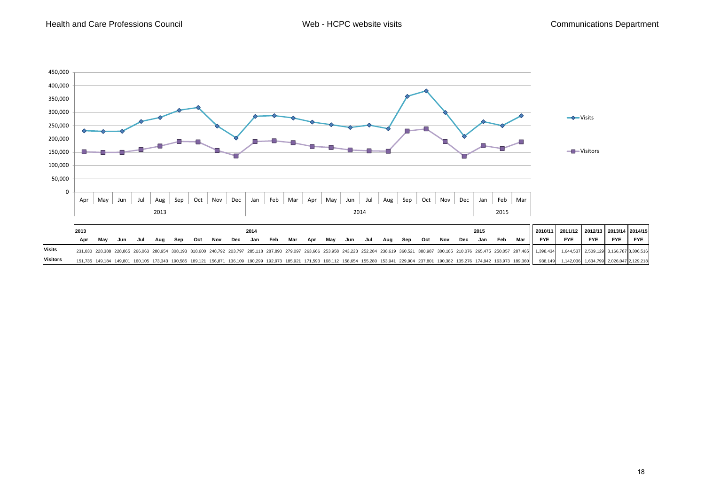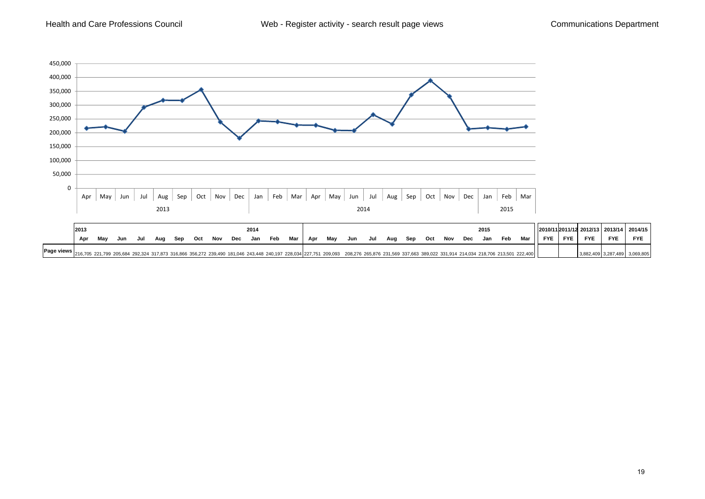Health and Care Professions Council



|                                                                                                                                                                                                            | 201: | 2014 |     |     |     |     |     |     |     |     |     |     |     |     |     |     |     |     | 2015 |     |     |     |     |     | 2010/11 2011/12 2012/13 2013/14 | 2014/15    |            |            |            |
|------------------------------------------------------------------------------------------------------------------------------------------------------------------------------------------------------------|------|------|-----|-----|-----|-----|-----|-----|-----|-----|-----|-----|-----|-----|-----|-----|-----|-----|------|-----|-----|-----|-----|-----|---------------------------------|------------|------------|------------|------------|
|                                                                                                                                                                                                            | Apr  | May  | Jun | Jul | Aug | Sep | Oct | Nov | Dec | Jan | Feb | Mar | Apr | May | Jun | Jul | Aug | Sep | Oct  | Nov | Dec | Jan | Feb | Mar | <b>FYE</b>                      | <b>FYE</b> | <b>FYE</b> | <b>FYE</b> | <b>FYE</b> |
| Page views 216,705 221,799 205,684 292,324 317,873 316,866 356,272 239,490 181,046 243,448 240,197 228,034 227,751 209,093 208,276 265,876 231,569 337,663 389,022 331,914 214,034 218,706 213,501 222,400 |      |      |     |     |     |     |     |     |     |     |     |     |     |     |     |     |     |     |      |     |     |     |     |     |                                 |            |            |            | 3,069,805  |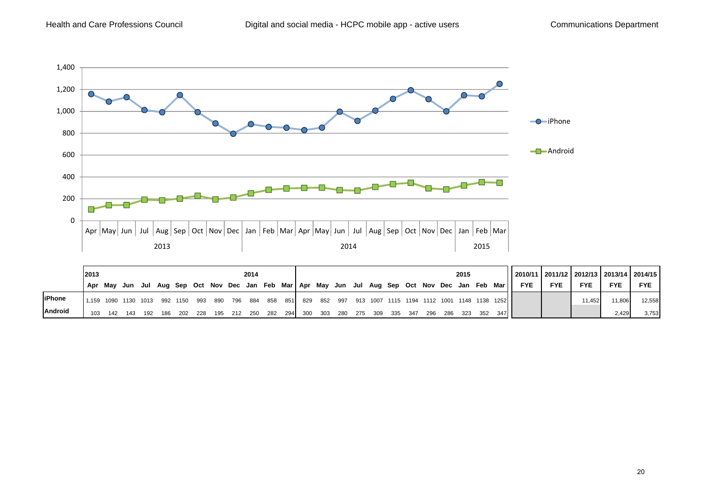

|                | 2013<br>2014                      |         |                                                                                       |     |     |       |     |  |  |                         |  |     |  |                         | 2015 |     |  | 2010/11   2011/12   2012/13   2013/14   2014/15 |                                                     |            |            |            |            |            |
|----------------|-----------------------------------|---------|---------------------------------------------------------------------------------------|-----|-----|-------|-----|--|--|-------------------------|--|-----|--|-------------------------|------|-----|--|-------------------------------------------------|-----------------------------------------------------|------------|------------|------------|------------|------------|
|                |                                   | Apr Mav | Jun Jul Aug Sep Oct Nov Dec Jan Feb Mar   Apr May Jun Jul Aug Sep Oct Nov Dec Jan Feb |     |     |       |     |  |  |                         |  |     |  |                         |      |     |  |                                                 | Mar I I                                             | <b>FYE</b> | <b>FYE</b> | <b>FYE</b> | <b>FYE</b> | <b>FYE</b> |
| <b>liPhone</b> | 1.159 1090 1130 1013 992 1150 993 |         |                                                                                       |     |     |       |     |  |  | 890 796 884 858 851 829 |  |     |  |                         |      |     |  |                                                 | 852 997 913 1007 1115 1194 1112 1001 1148 1138 1252 |            |            | 11.452     | 11,806     | 12,558     |
| <b>Android</b> | 103                               | 142     |                                                                                       | 192 | 186 | - 202 | 228 |  |  | 195 212 250 282 294 300 |  | 303 |  | 280 275 309 335 347 296 |      | 286 |  | 323 352                                         | 347 L                                               |            |            |            | 2.429      | 3,753      |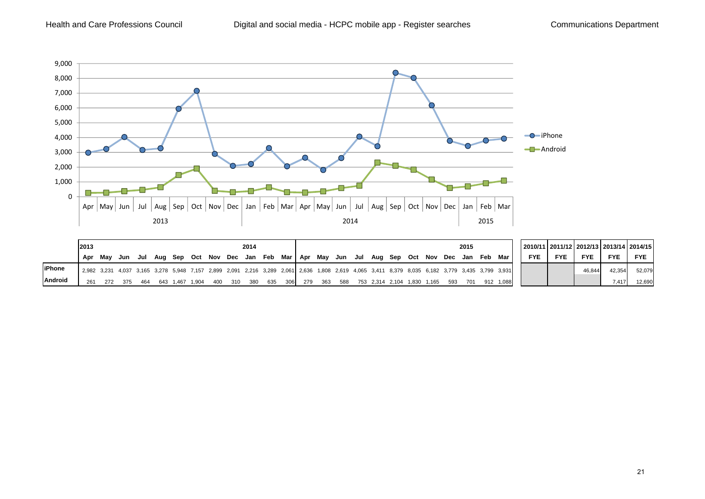

|                | 2013 | 2014 |     |     |     |       |             |     |     |             |     |     |      |     |     |  |                             |     | 2015 |     |     |                                                                                                                                                 |            | 2010/11 2011/12 2012/13 2013/14 2014/15 |            |            |            |
|----------------|------|------|-----|-----|-----|-------|-------------|-----|-----|-------------|-----|-----|------|-----|-----|--|-----------------------------|-----|------|-----|-----|-------------------------------------------------------------------------------------------------------------------------------------------------|------------|-----------------------------------------|------------|------------|------------|
|                | Apr  | Mav  | Jun | Jul |     |       | Aug Sep Oct | Nov | Dec | Jan Feb Mar |     |     | ,Apr | Mav |     |  | Jun Jul Aug Sep Oct         | Nov | Dec  | Jan | Feb | Mar                                                                                                                                             | <b>FYE</b> | <b>FYE</b>                              | <b>FYE</b> | <b>FYE</b> | <b>FYE</b> |
| <b>liPhone</b> |      |      |     |     |     |       |             |     |     |             |     |     |      |     |     |  |                             |     |      |     |     | 2,982 3,231 4,037 3,165 3,278 5,948 7,157 2,899 2,091 2,216 3,289 2,061 2,636 1,808 2,619 4,065 3,411 8,379 8,035 6,182 3,779 3,435 3,799 3,931 |            |                                         | 46,844     | 42,354     | 52,079     |
| <b>Android</b> | 261  | 272  | 375 | 464 | 643 | 1.467 | .904        | 400 | 310 | 380         | 635 | 306 | 279  | 363 | 588 |  | 753 2.314 2.104 1.830 1.165 |     | 593  | 701 |     | 1.088                                                                                                                                           |            |                                         |            | 7.417      | 12,690     |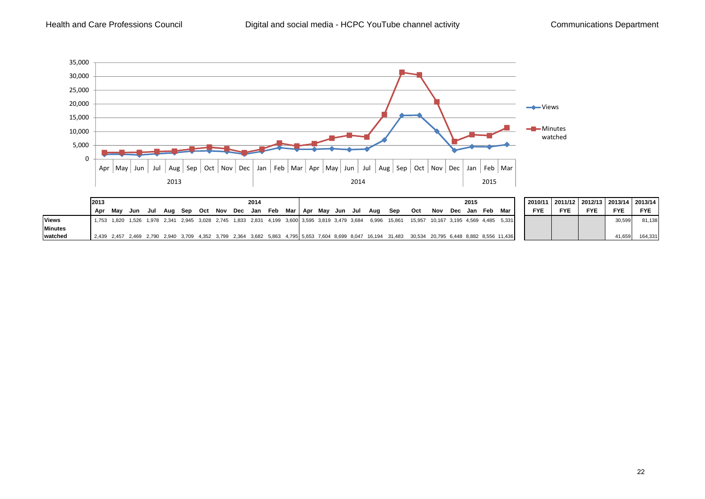

|                | 12013<br>2014 |                                                                                                 |     |     |  |                                                   |  |  |  |  |  |     |                                                                                                                                                      | 2015                                  |     |     |     |     |     |            | 2010/11 2011/12 2012/13 2013/14 2013/14 |            |            |            |
|----------------|---------------|-------------------------------------------------------------------------------------------------|-----|-----|--|---------------------------------------------------|--|--|--|--|--|-----|------------------------------------------------------------------------------------------------------------------------------------------------------|---------------------------------------|-----|-----|-----|-----|-----|------------|-----------------------------------------|------------|------------|------------|
|                | Apr           | Mav                                                                                             | Jun | Jul |  | Aug Sep Oct Nov Dec Jan Feb Mar   Apr May Jun Jul |  |  |  |  |  | Aua | Sep                                                                                                                                                  | Oct                                   | Nov | Dec | Jan | Feb | Mar | <b>FYE</b> | <b>FYE</b>                              | <b>FYE</b> | <b>FYE</b> | <b>FYE</b> |
| <b>Views</b>   |               | 1,753 1,820 1,526 1,978 2,341 2,945 3,028 2,745 1,833 2,831 4,199 3,600 3,595 3,819 3,479 3,684 |     |     |  |                                                   |  |  |  |  |  |     | 6,996 15,861                                                                                                                                         | 15,957 10,167 3,195 4,569 4,485 5,331 |     |     |     |     |     |            |                                         |            | 30,599     | 81.138     |
| <b>Minutes</b> |               |                                                                                                 |     |     |  |                                                   |  |  |  |  |  |     |                                                                                                                                                      |                                       |     |     |     |     |     |            |                                         |            |            |            |
| watched        |               |                                                                                                 |     |     |  |                                                   |  |  |  |  |  |     | 2,439 2,457 2,469 2,790 2,940 3,709 4,352 3,799 2,364 3,682 5,863 4,795 5,653 7,604 8,699 8,047 16,194 31,483 30,534 20,795 6,448 8,882 8,556 11,436 |                                       |     |     |     |     |     |            |                                         |            | 41.659     | 164.331    |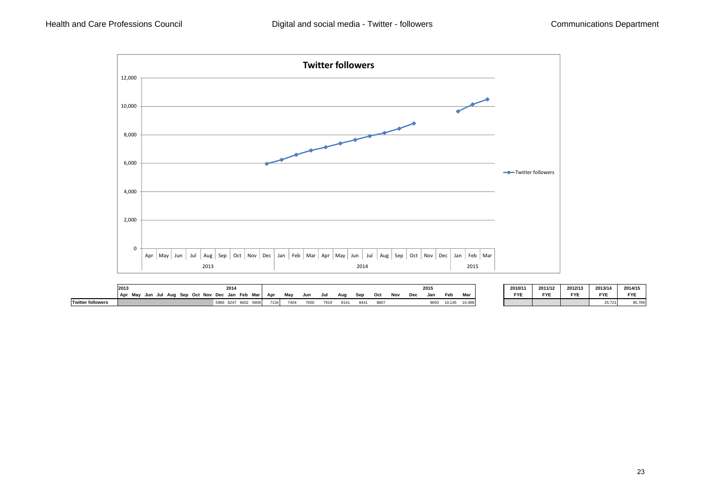

|                          | 2013                                          | 2014                      |      |      |      |      |      |      |     |     |            | 201  |        |        | 2010/11    | 2011/12    | 2012/13    | 2013/14    | 2014/15    |
|--------------------------|-----------------------------------------------|---------------------------|------|------|------|------|------|------|-----|-----|------------|------|--------|--------|------------|------------|------------|------------|------------|
|                          | Oct<br>Sep<br>Mav<br>Aug<br>Apr<br>Jun<br>Jul | Mar<br>Jan Feb<br>Nov Dec | Apr  | Mav  | Jun  | Jul  | Aua  | Sep  | Oct | Nov | naa<br>veu | Jan  | Feb    | Mar    | <b>FYE</b> | <b>FYE</b> | <b>FYE</b> | <b>FYE</b> | <b>FYE</b> |
| <b>Twitter followers</b> |                                               | .6247660<br>6901<br>5966  | 7134 | 7404 | 7650 | 7919 | 8141 | 8441 | 880 |     |            | 9650 | 10,145 | 10,498 |            |            |            | 25,721     | 85,789     |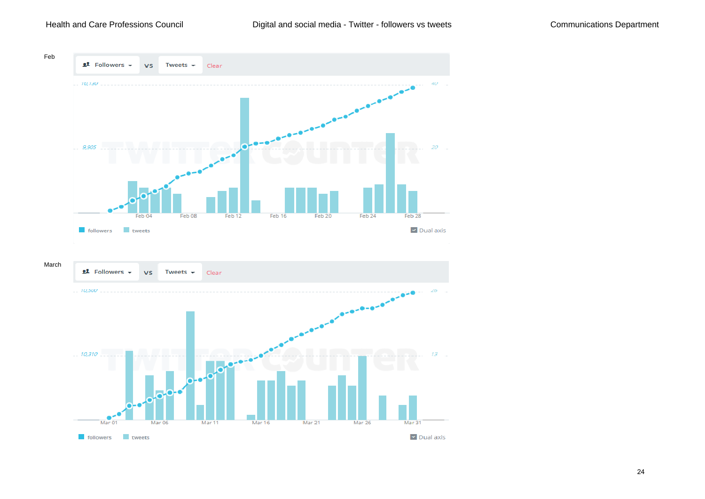